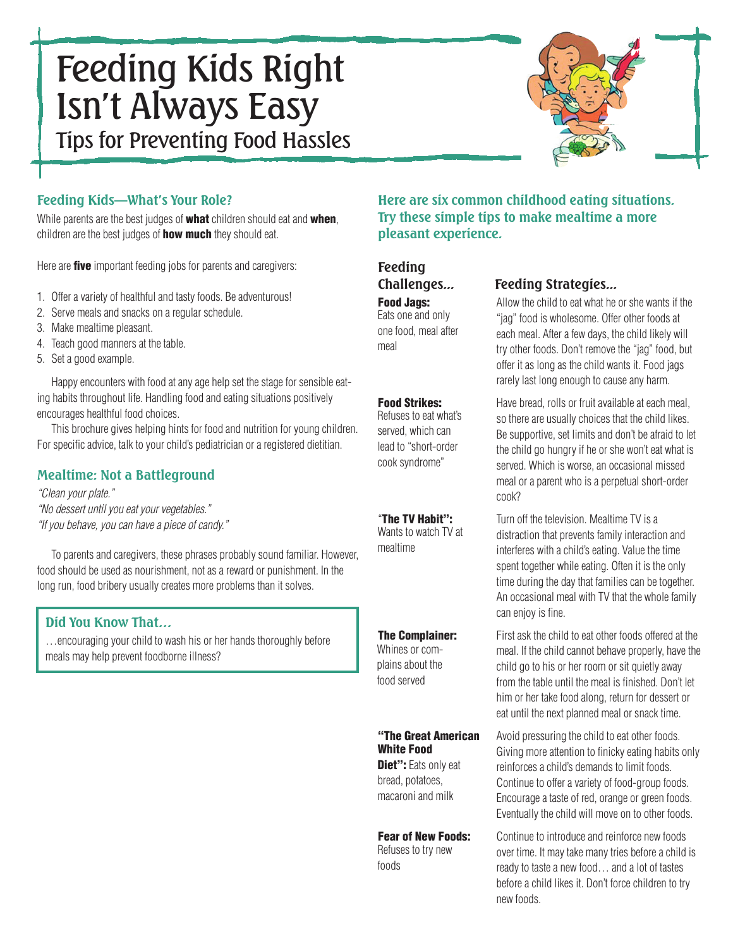# Feeding Kids Right Isn't Always Easy Tips for Preventing Food Hassles



## **Feeding Kids—What's Your Role?**

While parents are the best judges of what children should eat and when, children are the best judges of **how much** they should eat.

Here are **five** important feeding jobs for parents and caregivers:

- 1. Offer a variety of healthful and tasty foods. Be adventurous!
- 2. Serve meals and snacks on a regular schedule.
- 3. Make mealtime pleasant.
- 4. Teach good manners at the table.
- 5. Set a good example.

Happy encounters with food at any age help set the stage for sensible eating habits throughout life. Handling food and eating situations positively encourages healthful food choices.

This brochure gives helping hints for food and nutrition for young children. For specific advice, talk to your child's pediatrician or a registered dietitian.

## **Mealtime: Not a Battleground**

"Clean your plate." "No dessert until you eat your vegetables." "If you behave, you can have a piece of candy."

To parents and caregivers, these phrases probably sound familiar. However, food should be used as nourishment, not as a reward or punishment. In the long run, food bribery usually creates more problems than it solves.

## **Did You Know That…**

…encouraging your child to wash his or her hands thoroughly before meals may help prevent foodborne illness?

## **Here are six common childhood eating situations. Try these simple tips to make mealtime a more pleasant experience.**

# **Feeding**

Eats one and only one food, meal after meal

Refuses to eat what's served, which can lead to "short-order cook syndrome"

Wants to watch TV at mealtime

Whines or complains about the food served

## White Food

Diet": Eats only eat bread, potatoes, macaroni and milk

Refuses to try new foods

## **Challenges... Feeding Strategies...**

**Food Jags:** Allow the child to eat what he or she wants if the "jag" food is wholesome. Offer other foods at each meal. After a few days, the child likely will try other foods. Don't remove the "jag" food, but offer it as long as the child wants it. Food jags rarely last long enough to cause any harm.

**Food Strikes:** Have bread, rolls or fruit available at each meal, so there are usually choices that the child likes. Be supportive, set limits and don't be afraid to let the child go hungry if he or she won't eat what is served. Which is worse, an occasional missed meal or a parent who is a perpetual short-order cook?

"The TV Habit": Turn off the television. Mealtime TV is a distraction that prevents family interaction and interferes with a child's eating. Value the time spent together while eating. Often it is the only time during the day that families can be together. An occasional meal with TV that the whole family can enjoy is fine.

**The Complainer:** First ask the child to eat other foods offered at the meal. If the child cannot behave properly, have the child go to his or her room or sit quietly away from the table until the meal is finished. Don't let him or her take food along, return for dessert or eat until the next planned meal or snack time.

"The Great American Avoid pressuring the child to eat other foods. Giving more attention to finicky eating habits only reinforces a child's demands to limit foods. Continue to offer a variety of food-group foods. Encourage a taste of red, orange or green foods. Eventually the child will move on to other foods.

**Fear of New Foods:** Continue to introduce and reinforce new foods over time. It may take many tries before a child is ready to taste a new food… and a lot of tastes before a child likes it. Don't force children to try new foods.